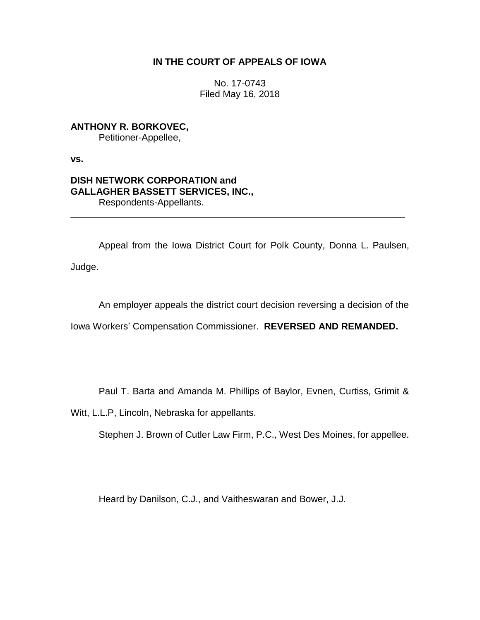## **IN THE COURT OF APPEALS OF IOWA**

No. 17-0743 Filed May 16, 2018

**ANTHONY R. BORKOVEC,** Petitioner-Appellee,

**vs.**

## **DISH NETWORK CORPORATION and GALLAGHER BASSETT SERVICES, INC.,** Respondents-Appellants.

Appeal from the Iowa District Court for Polk County, Donna L. Paulsen, Judge.

\_\_\_\_\_\_\_\_\_\_\_\_\_\_\_\_\_\_\_\_\_\_\_\_\_\_\_\_\_\_\_\_\_\_\_\_\_\_\_\_\_\_\_\_\_\_\_\_\_\_\_\_\_\_\_\_\_\_\_\_\_\_\_\_

An employer appeals the district court decision reversing a decision of the

Iowa Workers' Compensation Commissioner. **REVERSED AND REMANDED.**

Paul T. Barta and Amanda M. Phillips of Baylor, Evnen, Curtiss, Grimit &

Witt, L.L.P, Lincoln, Nebraska for appellants.

Stephen J. Brown of Cutler Law Firm, P.C., West Des Moines, for appellee.

Heard by Danilson, C.J., and Vaitheswaran and Bower, J.J.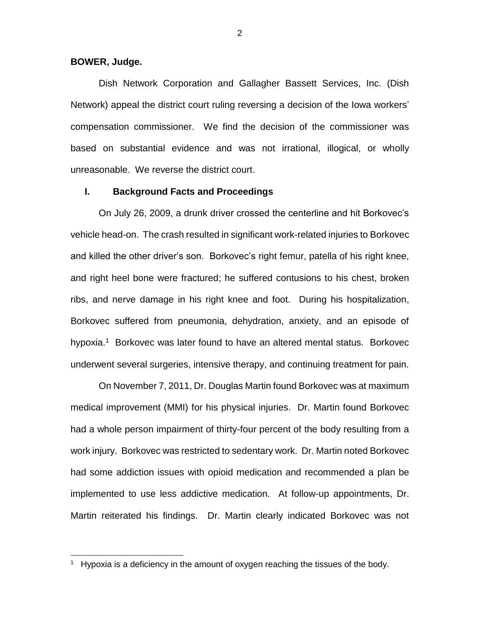#### **BOWER, Judge.**

 $\overline{\phantom{a}}$ 

Dish Network Corporation and Gallagher Bassett Services, Inc. (Dish Network) appeal the district court ruling reversing a decision of the Iowa workers' compensation commissioner. We find the decision of the commissioner was based on substantial evidence and was not irrational, illogical, or wholly unreasonable. We reverse the district court.

### **I. Background Facts and Proceedings**

On July 26, 2009, a drunk driver crossed the centerline and hit Borkovec's vehicle head-on. The crash resulted in significant work-related injuries to Borkovec and killed the other driver's son. Borkovec's right femur, patella of his right knee, and right heel bone were fractured; he suffered contusions to his chest, broken ribs, and nerve damage in his right knee and foot. During his hospitalization, Borkovec suffered from pneumonia, dehydration, anxiety, and an episode of hypoxia.<sup>1</sup> Borkovec was later found to have an altered mental status. Borkovec underwent several surgeries, intensive therapy, and continuing treatment for pain.

On November 7, 2011, Dr. Douglas Martin found Borkovec was at maximum medical improvement (MMI) for his physical injuries. Dr. Martin found Borkovec had a whole person impairment of thirty-four percent of the body resulting from a work injury. Borkovec was restricted to sedentary work. Dr. Martin noted Borkovec had some addiction issues with opioid medication and recommended a plan be implemented to use less addictive medication. At follow-up appointments, Dr. Martin reiterated his findings. Dr. Martin clearly indicated Borkovec was not

<sup>&</sup>lt;sup>1</sup> Hypoxia is a deficiency in the amount of oxygen reaching the tissues of the body.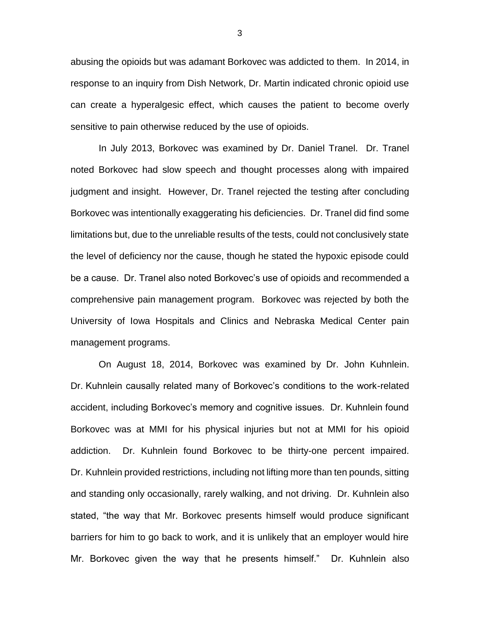abusing the opioids but was adamant Borkovec was addicted to them. In 2014, in response to an inquiry from Dish Network, Dr. Martin indicated chronic opioid use can create a hyperalgesic effect, which causes the patient to become overly sensitive to pain otherwise reduced by the use of opioids.

In July 2013, Borkovec was examined by Dr. Daniel Tranel. Dr. Tranel noted Borkovec had slow speech and thought processes along with impaired judgment and insight. However, Dr. Tranel rejected the testing after concluding Borkovec was intentionally exaggerating his deficiencies. Dr. Tranel did find some limitations but, due to the unreliable results of the tests, could not conclusively state the level of deficiency nor the cause, though he stated the hypoxic episode could be a cause. Dr. Tranel also noted Borkovec's use of opioids and recommended a comprehensive pain management program. Borkovec was rejected by both the University of Iowa Hospitals and Clinics and Nebraska Medical Center pain management programs.

On August 18, 2014, Borkovec was examined by Dr. John Kuhnlein. Dr. Kuhnlein causally related many of Borkovec's conditions to the work-related accident, including Borkovec's memory and cognitive issues. Dr. Kuhnlein found Borkovec was at MMI for his physical injuries but not at MMI for his opioid addiction. Dr. Kuhnlein found Borkovec to be thirty-one percent impaired. Dr. Kuhnlein provided restrictions, including not lifting more than ten pounds, sitting and standing only occasionally, rarely walking, and not driving. Dr. Kuhnlein also stated, "the way that Mr. Borkovec presents himself would produce significant barriers for him to go back to work, and it is unlikely that an employer would hire Mr. Borkovec given the way that he presents himself." Dr. Kuhnlein also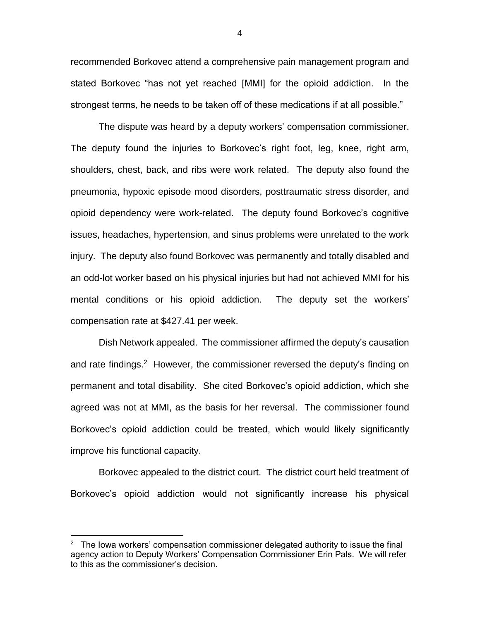recommended Borkovec attend a comprehensive pain management program and stated Borkovec "has not yet reached [MMI] for the opioid addiction. In the strongest terms, he needs to be taken off of these medications if at all possible."

The dispute was heard by a deputy workers' compensation commissioner. The deputy found the injuries to Borkovec's right foot, leg, knee, right arm, shoulders, chest, back, and ribs were work related. The deputy also found the pneumonia, hypoxic episode mood disorders, posttraumatic stress disorder, and opioid dependency were work-related. The deputy found Borkovec's cognitive issues, headaches, hypertension, and sinus problems were unrelated to the work injury. The deputy also found Borkovec was permanently and totally disabled and an odd-lot worker based on his physical injuries but had not achieved MMI for his mental conditions or his opioid addiction. The deputy set the workers' compensation rate at \$427.41 per week.

Dish Network appealed. The commissioner affirmed the deputy's causation and rate findings.<sup>2</sup> However, the commissioner reversed the deputy's finding on permanent and total disability. She cited Borkovec's opioid addiction, which she agreed was not at MMI, as the basis for her reversal. The commissioner found Borkovec's opioid addiction could be treated, which would likely significantly improve his functional capacity.

Borkovec appealed to the district court. The district court held treatment of Borkovec's opioid addiction would not significantly increase his physical

 $\overline{\phantom{a}}$ 

4

<sup>&</sup>lt;sup>2</sup> The Iowa workers' compensation commissioner delegated authority to issue the final agency action to Deputy Workers' Compensation Commissioner Erin Pals. We will refer to this as the commissioner's decision.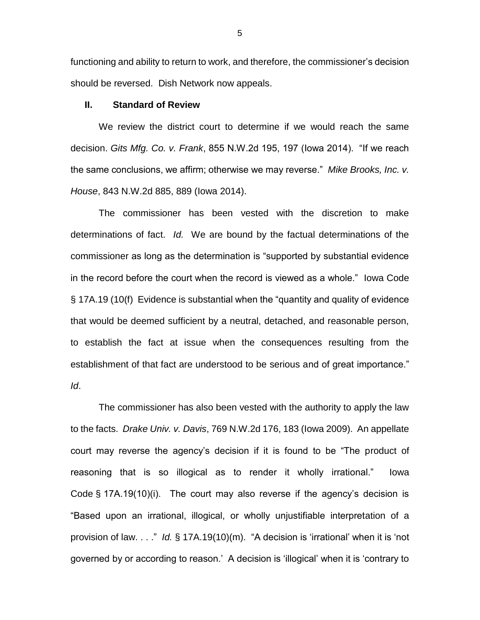functioning and ability to return to work, and therefore, the commissioner's decision should be reversed. Dish Network now appeals.

#### **II. Standard of Review**

We review the district court to determine if we would reach the same decision. *Gits Mfg. Co. v. Frank*, 855 N.W.2d 195, 197 (Iowa 2014). "If we reach the same conclusions, we affirm; otherwise we may reverse." *Mike Brooks, Inc. v. House*, 843 N.W.2d 885, 889 (Iowa 2014).

The commissioner has been vested with the discretion to make determinations of fact. *Id.* We are bound by the factual determinations of the commissioner as long as the determination is "supported by substantial evidence in the record before the court when the record is viewed as a whole." Iowa Code § 17A.19 (10(f) Evidence is substantial when the "quantity and quality of evidence that would be deemed sufficient by a neutral, detached, and reasonable person, to establish the fact at issue when the consequences resulting from the establishment of that fact are understood to be serious and of great importance." *Id*.

The commissioner has also been vested with the authority to apply the law to the facts. *Drake Univ. v. Davis*, 769 N.W.2d 176, 183 (Iowa 2009). An appellate court may reverse the agency's decision if it is found to be "The product of reasoning that is so illogical as to render it wholly irrational." Iowa Code § 17A.19(10)(i). The court may also reverse if the agency's decision is "Based upon an irrational, illogical, or wholly unjustifiable interpretation of a provision of law. . . ." *Id.* § 17A.19(10)(m). "A decision is 'irrational' when it is 'not governed by or according to reason.' A decision is 'illogical' when it is 'contrary to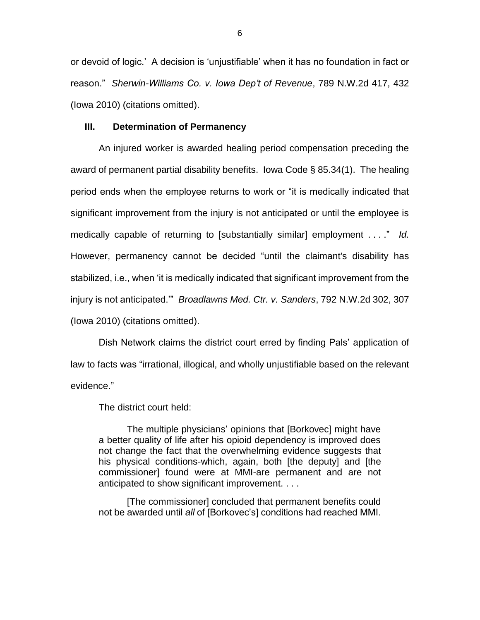or devoid of logic.' A decision is 'unjustifiable' when it has no foundation in fact or reason." *Sherwin-Williams Co. v. Iowa Dep't of Revenue*, 789 N.W.2d 417, 432 (Iowa 2010) (citations omitted).

#### **III. Determination of Permanency**

An injured worker is awarded healing period compensation preceding the award of permanent partial disability benefits. Iowa Code § 85.34(1). The healing period ends when the employee returns to work or "it is medically indicated that significant improvement from the injury is not anticipated or until the employee is medically capable of returning to [substantially similar] employment . . . ." *Id.* However, permanency cannot be decided "until the claimant's disability has stabilized, i.e., when 'it is medically indicated that significant improvement from the injury is not anticipated.'" *Broadlawns Med. Ctr. v. Sanders*, 792 N.W.2d 302, 307 (Iowa 2010) (citations omitted).

Dish Network claims the district court erred by finding Pals' application of law to facts was "irrational, illogical, and wholly unjustifiable based on the relevant evidence."

The district court held:

The multiple physicians' opinions that [Borkovec] might have a better quality of life after his opioid dependency is improved does not change the fact that the overwhelming evidence suggests that his physical conditions-which, again, both [the deputy] and [the commissioner] found were at MMI-are permanent and are not anticipated to show significant improvement. . . .

[The commissioner] concluded that permanent benefits could not be awarded until *all* of [Borkovec's] conditions had reached MMI.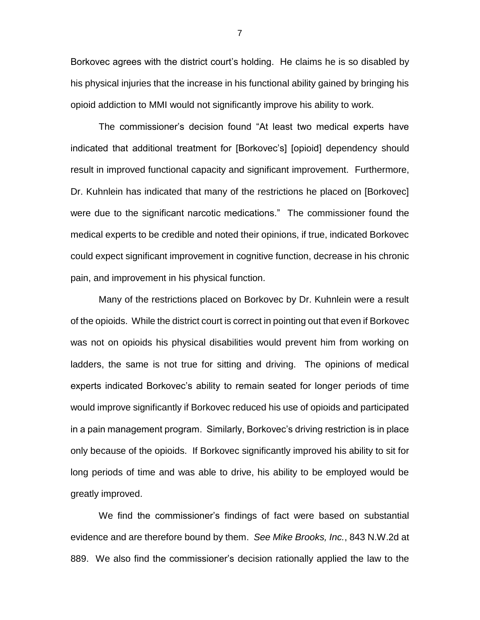Borkovec agrees with the district court's holding. He claims he is so disabled by his physical injuries that the increase in his functional ability gained by bringing his opioid addiction to MMI would not significantly improve his ability to work.

The commissioner's decision found "At least two medical experts have indicated that additional treatment for [Borkovec's] [opioid] dependency should result in improved functional capacity and significant improvement. Furthermore, Dr. Kuhnlein has indicated that many of the restrictions he placed on [Borkovec] were due to the significant narcotic medications." The commissioner found the medical experts to be credible and noted their opinions, if true, indicated Borkovec could expect significant improvement in cognitive function, decrease in his chronic pain, and improvement in his physical function.

Many of the restrictions placed on Borkovec by Dr. Kuhnlein were a result of the opioids. While the district court is correct in pointing out that even if Borkovec was not on opioids his physical disabilities would prevent him from working on ladders, the same is not true for sitting and driving. The opinions of medical experts indicated Borkovec's ability to remain seated for longer periods of time would improve significantly if Borkovec reduced his use of opioids and participated in a pain management program. Similarly, Borkovec's driving restriction is in place only because of the opioids. If Borkovec significantly improved his ability to sit for long periods of time and was able to drive, his ability to be employed would be greatly improved.

We find the commissioner's findings of fact were based on substantial evidence and are therefore bound by them. *See Mike Brooks, Inc.*, 843 N.W.2d at 889. We also find the commissioner's decision rationally applied the law to the

7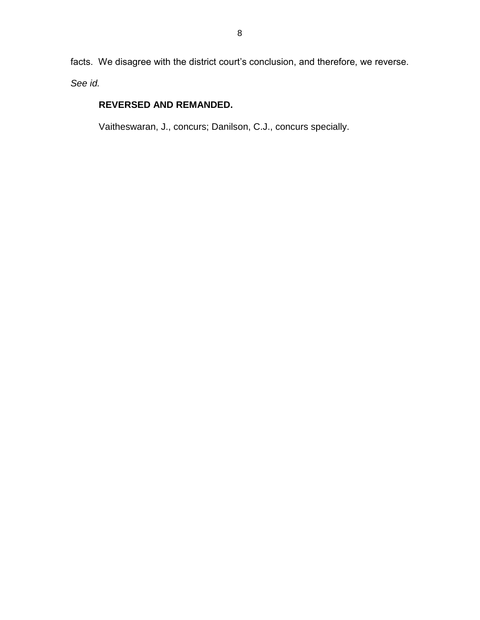facts. We disagree with the district court's conclusion, and therefore, we reverse. *See id.*

# **REVERSED AND REMANDED.**

Vaitheswaran, J., concurs; Danilson, C.J., concurs specially.